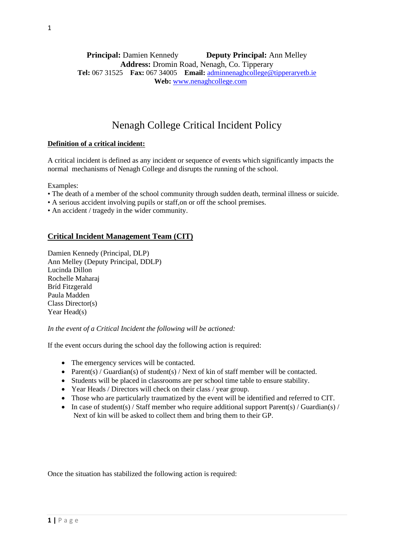## **Principal:** Damien Kennedy **Deputy Principal:** Ann Melley **Address:** Dromin Road, Nenagh, Co. Tipperary **Tel:** 067 31525 **Fax:** 067 34005 **Email:** [adminnenaghcollege@tipperaryetb.ie](mailto:adminnenaghcollege@tipperaryetb.ie)  **Web:** [www.nenaghcollege.com](http://www.nenaghcollege.com/)

# Nenagh College Critical Incident Policy

## **Definition of a critical incident:**

A critical incident is defined as any incident or sequence of events which significantly impacts the normal mechanisms of Nenagh College and disrupts the running of the school.

Examples:

- The death of a member of the school community through sudden death, terminal illness or suicide.
- A serious accident involving pupils or staff,on or off the school premises.
- An accident / tragedy in the wider community.

## **Critical Incident Management Team (CIT)**

Damien Kennedy (Principal, DLP) Ann Melley (Deputy Principal, DDLP) Lucinda Dillon Rochelle Maharaj Bríd Fitzgerald Paula Madden Class Director(s) Year Head(s)

*In the event of a Critical Incident the following will be actioned:*

If the event occurs during the school day the following action is required:

- The emergency services will be contacted.
- Parent(s) / Guardian(s) of student(s) / Next of kin of staff member will be contacted.
- Students will be placed in classrooms are per school time table to ensure stability.
- Year Heads / Directors will check on their class / year group.
- Those who are particularly traumatized by the event will be identified and referred to CIT.
- In case of student(s) / Staff member who require additional support Parent(s) / Guardian(s) / Next of kin will be asked to collect them and bring them to their GP.

Once the situation has stabilized the following action is required: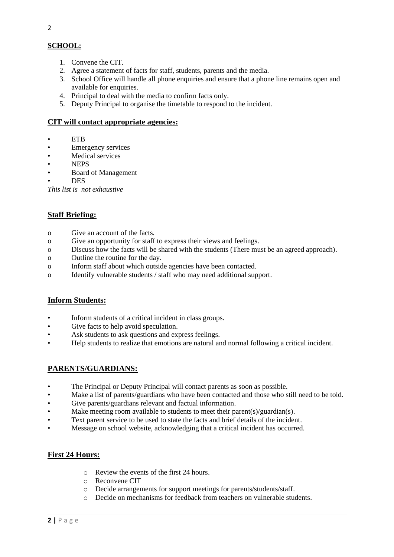## **SCHOOL:**

- 1. Convene the CIT.
- 2. Agree a statement of facts for staff, students, parents and the media.
- 3. School Office will handle all phone enquiries and ensure that a phone line remains open and available for enquiries.
- 4. Principal to deal with the media to confirm facts only.
- 5. Deputy Principal to organise the timetable to respond to the incident.

## **CIT will contact appropriate agencies:**

- ETB
- Emergency services
- Medical services
- NEPS
- Board of Management
- DES

*This list is not exhaustive*

## **Staff Briefing:**

- o Give an account of the facts.
- o Give an opportunity for staff to express their views and feelings.
- o Discuss how the facts will be shared with the students (There must be an agreed approach).
- o Outline the routine for the day.
- o Inform staff about which outside agencies have been contacted.
- o Identify vulnerable students / staff who may need additional support.

## **Inform Students:**

- Inform students of a critical incident in class groups.
- Give facts to help avoid speculation.
- Ask students to ask questions and express feelings.
- Help students to realize that emotions are natural and normal following a critical incident.

## **PARENTS/GUARDIANS:**

- The Principal or Deputy Principal will contact parents as soon as possible.
- Make a list of parents/guardians who have been contacted and those who still need to be told.
- Give parents/guardians relevant and factual information.
- Make meeting room available to students to meet their parent(s)/guardian(s).
- Text parent service to be used to state the facts and brief details of the incident.
- Message on school website, acknowledging that a critical incident has occurred.

## **First 24 Hours:**

- o Review the events of the first 24 hours.
- o Reconvene CIT
- o Decide arrangements for support meetings for parents/students/staff.
- o Decide on mechanisms for feedback from teachers on vulnerable students.